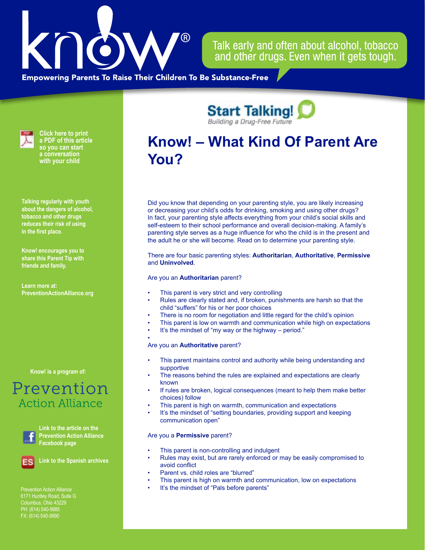

Talk early and often about alcohol, tobacco and other drugs. Even when it gets tough.

**Empowering Parents To Raise Their Children To Be Substance-Free** 



**Click here to print a PDF of this article so you can start a conversation with your child**

**Talking regularly with youth about the dangers of alcohol, tobacco and other drugs reduces their risk of using in the first place.**

**Know! encourages you to share this Parent Tip with friends and family.**

**Learn more at: PreventionActionAlliance[.org](https://www.drugfreeactionalliance.org/)**

**[Know! is a program of:](https://preventionactionalliance.org/)**

## Prevention **Action Alliance**



**Link to the article on the Prevention Action Alliance Facebook page**

**Link to the Spanish archives**

Prevention Action Alliance Columbus, Ohio 43229 PH: (614) 540-9985 FX: (614) 540-9990

**Know! – What Kind Of Parent Are You?**

**Start Talking!** 

Did you know that depending on your parenting style, you are likely increasing or decreasing your child's odds for drinking, smoking and using other drugs? In fact, your parenting style affects everything from your child's social skills and self-esteem to their school performance and overall decision-making. A family's parenting style serves as a huge influence for who the child is in the present and the adult he or she will become. Read on to determine your parenting style.

There are four basic parenting styles: **Authoritarian**, **Authoritative**, **Permissive** and **Uninvolved**.

## Are you an **Authoritarian** parent?

- This parent is very strict and very controlling
- Rules are clearly stated and, if broken, punishments are harsh so that the child "suffers" for his or her poor choices
- There is no room for negotiation and little regard for the child's opinion
- This parent is low on warmth and communication while high on expectations
- It's the mindset of "my way or the highway period."
- Are you an **Authoritative** parent?
- This parent maintains control and authority while being understanding and supportive
- The reasons behind the rules are explained and expectations are clearly known
- If rules are broken, logical consequences (meant to help them make better choices) follow
- This parent is high on warmth, communication and expectations
- It's the mindset of "setting boundaries, providing support and keeping communication open"

## Are you a **Permissive** parent?

- This parent is non-controlling and indulgent
- Rules may exist, but are rarely enforced or may be easily compromised to avoid conflict
- Parent vs. child roles are "blurred"
- This parent is high on warmth and communication, low on expectations
- It's the mindset of "Pals before parents"